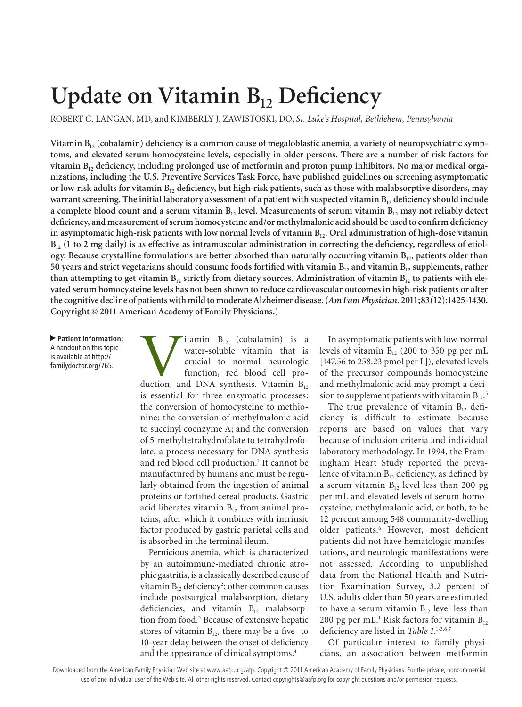# Update on Vitamin B<sub>12</sub> Deficiency

ROBERT C. LANGAN, MD, and KIMBERLY J. ZAWISTOSKI, DO, *St. Luke's Hospital, Bethlehem, Pennsylvania*

Vitamin B<sub>12</sub> (cobalamin) deficiency is a common cause of megaloblastic anemia, a variety of neuropsychiatric symp**toms, and elevated serum homocysteine levels, especially in older persons. There are a number of risk factors for vitamin B12 deficiency, including prolonged use of metformin and proton pump inhibitors. No major medical organizations, including the U.S. Preventive Services Task Force, have published guidelines on screening asymptomatic**  or low-risk adults for vitamin B<sub>12</sub> deficiency, but high-risk patients, such as those with malabsorptive disorders, may warrant screening. The initial laboratory assessment of a patient with suspected vitamin B<sub>12</sub> deficiency should include **a** complete blood count and a serum vitamin  $B_{12}$  level. Measurements of serum vitamin  $B_{12}$  may not reliably detect **deficiency, and measurement of serum homocysteine and/or methylmalonic acid should be used to confirm deficiency**  in asymptomatic high-risk patients with low normal levels of vitamin B<sub>12</sub>. Oral administration of high-dose vitamin B<sub>12</sub> (1 to 2 mg daily) is as effective as intramuscular administration in correcting the deficiency, regardless of etiol**ogy. Because crystalline formulations are better absorbed than naturally occurring vitamin B<sub>12</sub>, patients older than** 50 years and strict vegetarians should consume foods fortified with vitamin B<sub>12</sub> and vitamin B<sub>12</sub> supplements, rather than attempting to get vitamin B<sub>12</sub> strictly from dietary sources. Administration of vitamin B<sub>12</sub> to patients with ele**vated serum homocysteine levels has not been shown to reduce cardiovascular outcomes in high-risk patients or alter the cognitive decline of patients with mild to moderate Alzheimer disease. (***Am Fam Physician***. 2011;83(12):1425-1430. Copyright © 2011 American Academy of Family Physicians.)**

▲ **Patient information:** A handout on this topic is available at http:// familydoctor.org/765.

**V**itamin  $B_{12}$  (cobalamin) is a water-soluble vitamin that is crucial to normal neurologic function, red blood cell production, and DNA synthesis. Vitamin  $B_{12}$ water-soluble vitamin that is crucial to normal neurologic function, red blood cell prois essential for three enzymatic processes: the conversion of homocysteine to methionine; the conversion of methylmalonic acid to succinyl coenzyme A; and the conversion of 5-methyltetrahydrofolate to tetrahydrofolate, a process necessary for DNA synthesis and red blood cell production.<sup>1</sup> It cannot be manufactured by humans and must be regularly obtained from the ingestion of animal proteins or fortified cereal products. Gastric acid liberates vitamin  $B_{12}$  from animal proteins, after which it combines with intrinsic factor produced by gastric parietal cells and is absorbed in the terminal ileum.

Pernicious anemia, which is characterized by an autoimmune-mediated chronic atrophic gastritis, is a classically described cause of vitamin  $B_{12}$  deficiency<sup>2</sup>; other common causes include postsurgical malabsorption, dietary deficiencies, and vitamin  $B_{12}$  malabsorption from food.3 Because of extensive hepatic stores of vitamin  $B_{12}$ , there may be a five- to 10-year delay between the onset of deficiency and the appearance of clinical symptoms.4

In asymptomatic patients with low-normal levels of vitamin  $B_{12}$  (200 to 350 pg per mL [147.56 to 258.23 pmol per L]), elevated levels of the precursor compounds homocysteine and methylmalonic acid may prompt a decision to supplement patients with vitamin  $B_{12}$ .<sup>5</sup>

The true prevalence of vitamin  $B_{12}$  deficiency is difficult to estimate because reports are based on values that vary because of inclusion criteria and individual laboratory methodology. In 1994, the Framingham Heart Study reported the prevalence of vitamin  $B_{12}$  deficiency, as defined by a serum vitamin  $B_{12}$  level less than 200 pg per mL and elevated levels of serum homocysteine, methylmalonic acid, or both, to be 12 percent among 548 community-dwelling older patients.6 However, most deficient patients did not have hematologic manifestations, and neurologic manifestations were not assessed. According to unpublished data from the National Health and Nutrition Examination Survey, 3.2 percent of U.S. adults older than 50 years are estimated to have a serum vitamin  $B_{12}$  level less than 200 pg per mL.<sup>1</sup> Risk factors for vitamin  $B_{12}$ deficiency are listed in *Table 1*. 1-3,6,7

Of particular interest to family physicians, an association between metformin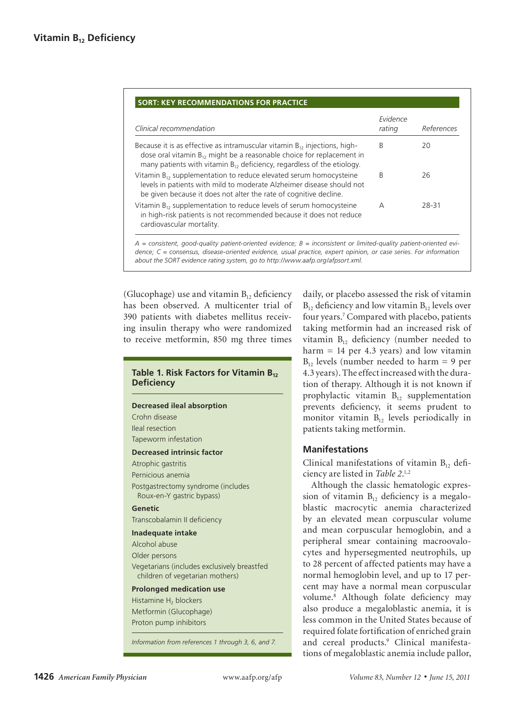| Clinical recommendation                                                                                                                                                                                                                     | Evidence<br>rating | References |
|---------------------------------------------------------------------------------------------------------------------------------------------------------------------------------------------------------------------------------------------|--------------------|------------|
| Because it is as effective as intramuscular vitamin $B_{12}$ injections, high-<br>dose oral vitamin $B_{12}$ might be a reasonable choice for replacement in<br>many patients with vitamin $B_{12}$ deficiency, regardless of the etiology. | B                  | 20         |
| Vitamin $B_{12}$ supplementation to reduce elevated serum homocysteine<br>levels in patients with mild to moderate Alzheimer disease should not<br>be given because it does not alter the rate of cognitive decline.                        | B                  | 26         |
| Vitamin $B_{12}$ supplementation to reduce levels of serum homocysteine<br>in high-risk patients is not recommended because it does not reduce<br>cardiovascular mortality.                                                                 | Α                  | 28-31      |

(Glucophage) use and vitamin  $B_{12}$  deficiency has been observed. A multicenter trial of 390 patients with diabetes mellitus receiving insulin therapy who were randomized to receive metformin, 850 mg three times

# **Table 1. Risk Factors for Vitamin B<sub>12</sub> Deficiency**

#### **Decreased ileal absorption**

Crohn disease Ileal resection Tapeworm infestation

#### **Decreased intrinsic factor**

Atrophic gastritis Pernicious anemia

Postgastrectomy syndrome (includes Roux-en-Y gastric bypass)

#### **Genetic**

Transcobalamin II deficiency

#### **Inadequate intake**

Alcohol abuse

- Older persons
- Vegetarians (includes exclusively breastfed children of vegetarian mothers)

## **Prolonged medication use**

Histamine H<sub>2</sub> blockers Metformin (Glucophage) Proton pump inhibitors

*Information from references 1 through 3, 6, and 7.*

daily, or placebo assessed the risk of vitamin  $B_{12}$  deficiency and low vitamin  $B_{12}$  levels over four years.7 Compared with placebo, patients taking metformin had an increased risk of vitamin  $B_{12}$  deficiency (number needed to harm  $= 14$  per 4.3 years) and low vitamin  $B_{12}$  levels (number needed to harm = 9 per 4.3 years). The effect increased with the duration of therapy. Although it is not known if prophylactic vitamin  $B_{12}$  supplementation prevents deficiency, it seems prudent to monitor vitamin  $B_{12}$  levels periodically in patients taking metformin.

## **Manifestations**

Clinical manifestations of vitamin  $B_{12}$  deficiency are listed in *Table 2*. 1,2

Although the classic hematologic expression of vitamin  $B_{12}$  deficiency is a megaloblastic macrocytic anemia characterized by an elevated mean corpuscular volume and mean corpuscular hemoglobin, and a peripheral smear containing macroovalocytes and hypersegmented neutrophils, up to 28 percent of affected patients may have a normal hemoglobin level, and up to 17 percent may have a normal mean corpuscular volume.8 Although folate deficiency may also produce a megaloblastic anemia, it is less common in the United States because of required folate fortification of enriched grain and cereal products.9 Clinical manifestations of megaloblastic anemia include pallor,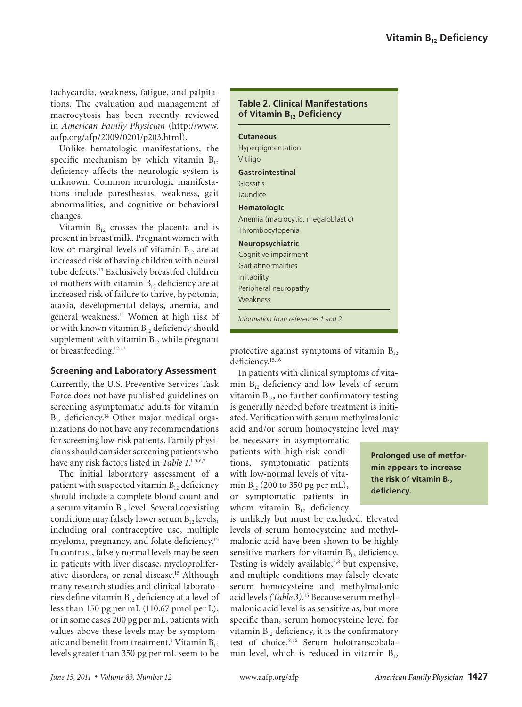tachycardia, weakness, fatigue, and palpitations. The evaluation and management of macrocytosis has been recently reviewed in *American Family Physician* (http://www. aafp.org/afp/2009/0201/p203.html).

Unlike hematologic manifestations, the specific mechanism by which vitamin  $B_{12}$ deficiency affects the neurologic system is unknown. Common neurologic manifestations include paresthesias, weakness, gait abnormalities, and cognitive or behavioral changes.

Vitamin  $B_{12}$  crosses the placenta and is present in breast milk. Pregnant women with low or marginal levels of vitamin  $B_{12}$  are at increased risk of having children with neural tube defects.10 Exclusively breastfed children of mothers with vitamin  $B_{12}$  deficiency are at increased risk of failure to thrive, hypotonia, ataxia, developmental delays, anemia, and general weakness.11 Women at high risk of or with known vitamin  $B_{12}$  deficiency should supplement with vitamin  $B_{12}$  while pregnant or breastfeeding.12,13

## **Screening and Laboratory Assessment**

Currently, the U.S. Preventive Services Task Force does not have published guidelines on screening asymptomatic adults for vitamin  $B_{12}$  deficiency.<sup>14</sup> Other major medical organizations do not have any recommendations for screening low-risk patients. Family physicians should consider screening patients who have any risk factors listed in *Table 1*. 1-3,6,7

The initial laboratory assessment of a patient with suspected vitamin  $B_{12}$  deficiency should include a complete blood count and a serum vitamin  $B_{12}$  level. Several coexisting conditions may falsely lower serum  $B_{12}$  levels, including oral contraceptive use, multiple myeloma, pregnancy, and folate deficiency.<sup>15</sup> In contrast, falsely normal levels may be seen in patients with liver disease, myeloproliferative disorders, or renal disease.15 Although many research studies and clinical laboratories define vitamin  $B_{12}$  deficiency at a level of less than 150 pg per mL (110.67 pmol per L), or in some cases 200 pg per mL, patients with values above these levels may be symptomatic and benefit from treatment.<sup>1</sup> Vitamin  $\mathrm{B_{12}}$ levels greater than 350 pg per mL seem to be

# **Table 2. Clinical Manifestations of Vitamin B12 Deficiency**

# **Cutaneous** Hyperpigmentation Vitiligo **Gastrointestinal** Glossitis Jaundice **Hematologic** Anemia (macrocytic, megaloblastic) Thrombocytopenia **Neuropsychiatric** Cognitive impairment Gait abnormalities Irritability Peripheral neuropathy Weakness

*Information from references 1 and 2.*

protective against symptoms of vitamin  $B_{12}$ deficiency.<sup>15,16</sup>

In patients with clinical symptoms of vitamin  $B_{12}$  deficiency and low levels of serum vitamin  $B_{12}$ , no further confirmatory testing is generally needed before treatment is initiated. Verification with serum methylmalonic acid and/or serum homocysteine level may

be necessary in asymptomatic patients with high-risk conditions, symptomatic patients with low-normal levels of vitamin  $B_{12}$  (200 to 350 pg per mL), or symptomatic patients in whom vitamin  $B_{12}$  deficiency

**Prolonged use of metformin appears to increase the risk of vitamin B<sub>12</sub> deficiency.**

is unlikely but must be excluded. Elevated levels of serum homocysteine and methylmalonic acid have been shown to be highly sensitive markers for vitamin  $B_{12}$  deficiency. Testing is widely available,<sup>5,8</sup> but expensive, and multiple conditions may falsely elevate serum homocysteine and methylmalonic acid levels *(Table 3)*. 15 Because serum methylmalonic acid level is as sensitive as, but more specific than, serum homocysteine level for vitamin  $B_{12}$  deficiency, it is the confirmatory test of choice.<sup>8,15</sup> Serum holotranscobalamin level, which is reduced in vitamin  $B_{12}$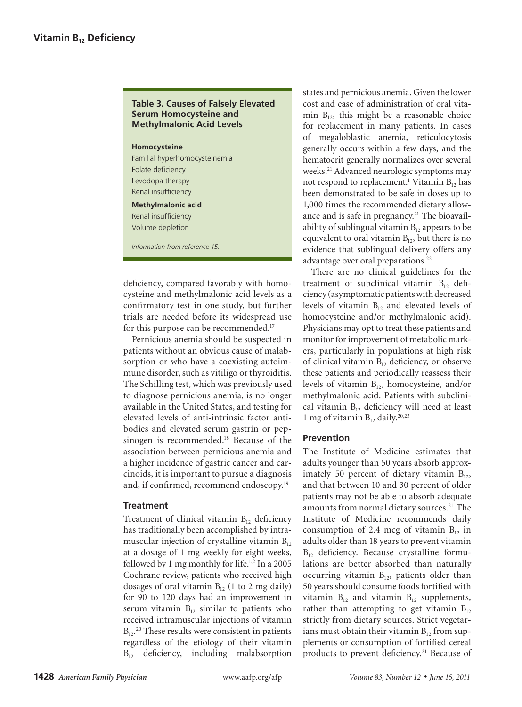## **Table 3. Causes of Falsely Elevated Serum Homocysteine and Methylmalonic Acid Levels**

# **Homocysteine**

Familial hyperhomocysteinemia Folate deficiency Levodopa therapy Renal insufficiency **Methylmalonic acid** Renal insufficiency Volume depletion

*Information from reference 15.*

deficiency, compared favorably with homocysteine and methylmalonic acid levels as a confirmatory test in one study, but further trials are needed before its widespread use for this purpose can be recommended.<sup>17</sup>

Pernicious anemia should be suspected in patients without an obvious cause of malabsorption or who have a coexisting autoimmune disorder, such as vitiligo or thyroiditis. The Schilling test, which was previously used to diagnose pernicious anemia, is no longer available in the United States, and testing for elevated levels of anti-intrinsic factor antibodies and elevated serum gastrin or pepsinogen is recommended.18 Because of the association between pernicious anemia and a higher incidence of gastric cancer and carcinoids, it is important to pursue a diagnosis and, if confirmed, recommend endoscopy.19

## **Treatment**

Treatment of clinical vitamin  $B_{12}$  deficiency has traditionally been accomplished by intramuscular injection of crystalline vitamin  $B_{12}$ at a dosage of 1 mg weekly for eight weeks, followed by 1 mg monthly for life.<sup>1,2</sup> In a 2005 Cochrane review, patients who received high dosages of oral vitamin  $B_{12}$  (1 to 2 mg daily) for 90 to 120 days had an improvement in serum vitamin  $B_{12}$  similar to patients who received intramuscular injections of vitamin  $B_{12}$ <sup>20</sup> These results were consistent in patients regardless of the etiology of their vitamin  $B_{12}$  deficiency, including malabsorption

states and pernicious anemia. Given the lower cost and ease of administration of oral vitamin  $B_{12}$ , this might be a reasonable choice for replacement in many patients. In cases of megaloblastic anemia, reticulocytosis generally occurs within a few days, and the hematocrit generally normalizes over several weeks.21 Advanced neurologic symptoms may not respond to replacement.<sup>1</sup> Vitamin  $B_{12}$  has been demonstrated to be safe in doses up to 1,000 times the recommended dietary allowance and is safe in pregnancy.<sup>21</sup> The bioavailability of sublingual vitamin  $B_{12}$  appears to be equivalent to oral vitamin  $B_{12}$ , but there is no evidence that sublingual delivery offers any advantage over oral preparations.<sup>22</sup>

There are no clinical guidelines for the treatment of subclinical vitamin  $B_{12}$  deficiency (asymptomatic patients with decreased levels of vitamin  $B_{12}$  and elevated levels of homocysteine and/or methylmalonic acid). Physicians may opt to treat these patients and monitor for improvement of metabolic markers, particularly in populations at high risk of clinical vitamin  $B_{12}$  deficiency, or observe these patients and periodically reassess their levels of vitamin  $B_{12}$ , homocysteine, and/or methylmalonic acid. Patients with subclinical vitamin  $B_{12}$  deficiency will need at least 1 mg of vitamin  $B_{12}$  daily.<sup>20,23</sup>

# **Prevention**

The Institute of Medicine estimates that adults younger than 50 years absorb approximately 50 percent of dietary vitamin  $B_{12}$ , and that between 10 and 30 percent of older patients may not be able to absorb adequate amounts from normal dietary sources.<sup>21</sup> The Institute of Medicine recommends daily consumption of 2.4 mcg of vitamin  $B_{12}$  in adults older than 18 years to prevent vitamin  $B_{12}$  deficiency. Because crystalline formulations are better absorbed than naturally occurring vitamin  $B_{12}$ , patients older than 50 years should consume foods fortified with vitamin  $B_{12}$  and vitamin  $B_{12}$  supplements, rather than attempting to get vitamin  $B_{12}$ strictly from dietary sources. Strict vegetarians must obtain their vitamin  $B_{12}$  from supplements or consumption of fortified cereal products to prevent deficiency.<sup>21</sup> Because of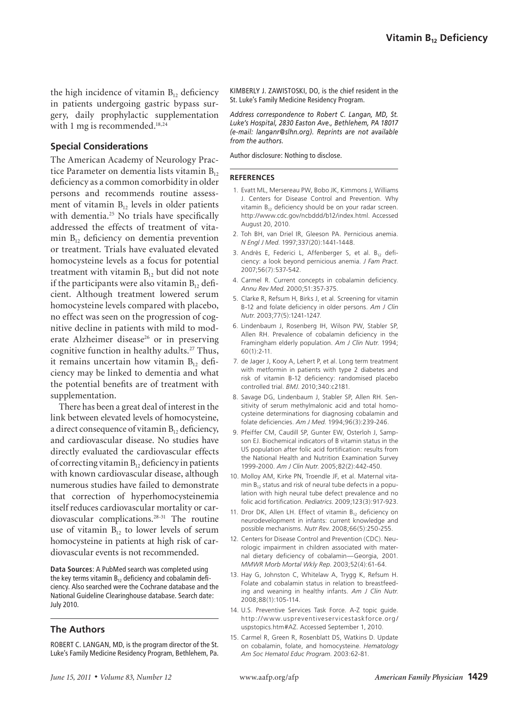the high incidence of vitamin  $B_{12}$  deficiency in patients undergoing gastric bypass surgery, daily prophylactic supplementation with 1 mg is recommended.<sup>18,24</sup>

## **Special Considerations**

The American Academy of Neurology Practice Parameter on dementia lists vitamin  $B_{12}$ deficiency as a common comorbidity in older persons and recommends routine assessment of vitamin  $B_{12}$  levels in older patients with dementia.<sup>25</sup> No trials have specifically addressed the effects of treatment of vitamin  $B_{12}$  deficiency on dementia prevention or treatment. Trials have evaluated elevated homocysteine levels as a focus for potential treatment with vitamin  $B_{12}$  but did not note if the participants were also vitamin  $B_{12}$  deficient. Although treatment lowered serum homocysteine levels compared with placebo, no effect was seen on the progression of cognitive decline in patients with mild to moderate Alzheimer disease<sup>26</sup> or in preserving cognitive function in healthy adults.<sup>27</sup> Thus, it remains uncertain how vitamin  $B_{12}$  deficiency may be linked to dementia and what the potential benefits are of treatment with supplementation.

There has been a great deal of interest in the link between elevated levels of homocysteine, a direct consequence of vitamin  $B_{12}$  deficiency, and cardiovascular disease. No studies have directly evaluated the cardiovascular effects of correcting vitamin  $B_{12}$  deficiency in patients with known cardiovascular disease, although numerous studies have failed to demonstrate that correction of hyperhomocysteinemia itself reduces cardiovascular mortality or cardiovascular complications.28-31 The routine use of vitamin  $B_{12}$  to lower levels of serum homocysteine in patients at high risk of cardiovascular events is not recommended.

**Data Sources**: A PubMed search was completed using the key terms vitamin  $B_{12}$  deficiency and cobalamin deficiency. Also searched were the Cochrane database and the National Guideline Clearinghouse database. Search date: July 2010.

## **The Authors**

ROBERT C. LANGAN, MD, is the program director of the St. Luke's Family Medicine Residency Program, Bethlehem, Pa. KIMBERLY J. ZAWISTOSKI, DO, is the chief resident in the St. Luke's Family Medicine Residency Program.

*Address correspondence to Robert C. Langan, MD, St. Luke's Hospital, 2830 Easton Ave., Bethlehem, PA 18017 (e-mail: langanr@slhn.org). Reprints are not available from the authors.*

Author disclosure: Nothing to disclose.

#### **REFERENCES**

- 1. Evatt ML, Mersereau PW, Bobo JK, Kimmons J, Williams J. Centers for Disease Control and Prevention. Why vitamin  $B_{12}$  deficiency should be on your radar screen. http://www.cdc.gov/ncbddd/b12/index.html. Accessed August 20, 2010.
- 2. Toh BH, van Driel IR, Gleeson PA. Pernicious anemia. *N Engl J Med*. 1997;337(20):1441-1448.
- 3. Andrès E, Federici L, Affenberger S, et al.  $B_{12}$  deficiency: a look beyond pernicious anemia. *J Fam Pract*. 2007;56(7):537-542.
- 4. Carmel R. Current concepts in cobalamin deficiency. *Annu Rev Med*. 2000;51:357-375.
- 5. Clarke R, Refsum H, Birks J, et al. Screening for vitamin B-12 and folate deficiency in older persons. *Am J Clin Nutr*. 2003;77(5):1241-1247.
- 6. Lindenbaum J, Rosenberg IH, Wilson PW, Stabler SP, Allen RH. Prevalence of cobalamin deficiency in the Framingham elderly population. *Am J Clin Nutr*. 1994; 60(1):2-11.
- 7. de Jager J, Kooy A, Lehert P, et al. Long term treatment with metformin in patients with type 2 diabetes and risk of vitamin B-12 deficiency: randomised placebo controlled trial. *BMJ*. 2010;340:c2181.
- 8. Savage DG, Lindenbaum J, Stabler SP, Allen RH. Sensitivity of serum methylmalonic acid and total homocysteine determinations for diagnosing cobalamin and folate deficiencies. *Am J Med*. 1994;96(3):239-246.
- 9. Pfeiffer CM, Caudill SP, Gunter EW, Osterloh J, Sampson EJ. Biochemical indicators of B vitamin status in the US population after folic acid fortification: results from the National Health and Nutrition Examination Survey 1999-2000. *Am J Clin Nutr*. 2005;82(2):442-450.
- 10. Molloy AM, Kirke PN, Troendle JF, et al. Maternal vitamin  $B_{12}$  status and risk of neural tube defects in a population with high neural tube defect prevalence and no folic acid fortification. *Pediatrics*. 2009;123(3):917-923.
- 11. Dror DK, Allen LH. Effect of vitamin  $B_{12}$  deficiency on neurodevelopment in infants: current knowledge and possible mechanisms. *Nutr Rev*. 2008;66(5):250-255.
- 12. Centers for Disease Control and Prevention (CDC). Neurologic impairment in children associated with maternal dietary deficiency of cobalamin—Georgia, 2001. *MMWR Morb Mortal Wkly Rep*. 2003;52(4):61-64.
- 13. Hay G, Johnston C, Whitelaw A, Trygg K, Refsum H. Folate and cobalamin status in relation to breastfeeding and weaning in healthy infants. *Am J Clin Nutr*. 2008;88(1):105-114.
- 14. U.S. Preventive Services Task Force. A-Z topic guide. http://www.uspreventiveservicestaskforce.org / uspstopics.htm#AZ. Accessed September 1, 2010.
- 15. Carmel R, Green R, Rosenblatt DS, Watkins D. Update on cobalamin, folate, and homocysteine. *Hematology Am Soc Hematol Educ Program*. 2003:62-81.